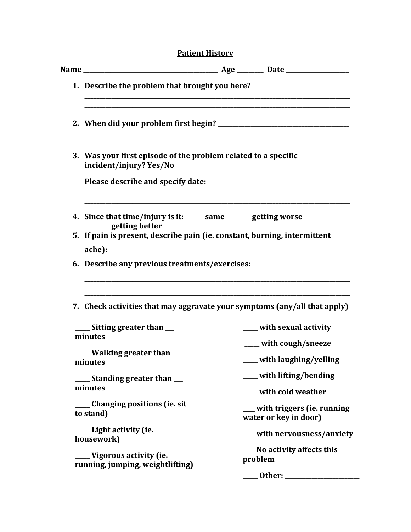# **Patient History**

|                                                                 | 1. Describe the problem that brought you here?                                            |                                                         |  |
|-----------------------------------------------------------------|-------------------------------------------------------------------------------------------|---------------------------------------------------------|--|
|                                                                 |                                                                                           |                                                         |  |
|                                                                 | 3. Was your first episode of the problem related to a specific<br>incident/injury? Yes/No |                                                         |  |
|                                                                 | Please describe and specify date:                                                         |                                                         |  |
|                                                                 | 4. Since that time/injury is it: ______ same _______ getting worse<br>getting better      |                                                         |  |
|                                                                 | 5. If pain is present, describe pain (ie. constant, burning, intermittent                 |                                                         |  |
|                                                                 |                                                                                           |                                                         |  |
|                                                                 | 7. Check activities that may aggravate your symptoms (any/all that apply)                 |                                                         |  |
|                                                                 | ____ Sitting greater than __<br>minutes                                                   | ____ with sexual activity                               |  |
|                                                                 | ____ Walking greater than __<br><b>minutes</b> minutes                                    | ___ with cough/sneeze<br>with laughing/yelling          |  |
| ___ Standing greater than __<br>minutes                         |                                                                                           | ___ with lifting/bending<br>___ with cold weather       |  |
|                                                                 | ____ Changing positions (ie. sit<br>to stand)                                             | ___ with triggers (ie. running<br>water or key in door) |  |
|                                                                 | ___ Light activity (ie.<br>housework)                                                     | __ with nervousness/anxiety                             |  |
| ____ Vigorous activity (ie.<br>running, jumping, weightlifting) |                                                                                           | ___ No activity affects this<br>problem                 |  |
|                                                                 |                                                                                           | __ Other: _______________                               |  |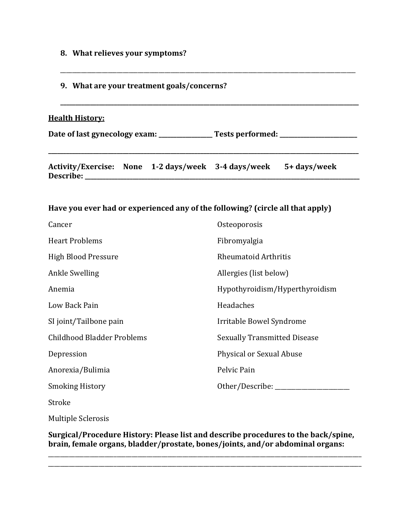- **8. What relieves your symptoms?**
- **9. What are your treatment goals/concerns?**

#### **Health History:**

Date of last gynecology exam: \_\_\_\_\_\_\_\_\_\_\_\_\_\_\_\_\_Tests performed: \_\_\_\_\_\_\_\_\_\_\_\_\_\_\_\_\_\_\_\_\_\_\_

**\_\_\_\_\_\_\_\_\_\_\_\_\_\_\_\_\_\_\_\_\_\_\_\_\_\_\_\_\_\_\_\_\_\_\_\_\_\_\_\_\_\_\_\_\_\_\_\_\_\_\_\_\_\_\_\_\_\_\_\_\_\_\_\_\_\_\_\_\_\_\_\_\_\_\_\_\_\_\_\_\_\_\_\_\_\_\_\_\_\_\_\_\_\_\_\_\_\_\_\_\_\_\_\_**

\_\_\_\_\_\_\_\_\_\_\_\_\_\_\_\_\_\_\_\_\_\_\_\_\_\_\_\_\_\_\_\_\_\_\_\_\_\_\_\_\_\_\_\_\_\_\_\_\_\_\_\_\_\_\_\_\_\_\_\_\_\_\_\_\_\_\_\_\_\_\_\_\_\_\_\_\_\_\_\_\_\_\_\_\_\_\_\_\_\_\_\_\_\_\_\_\_\_\_

**\_\_\_\_\_\_\_\_\_\_\_\_\_\_\_\_\_\_\_\_\_\_\_\_\_\_\_\_\_\_\_\_\_\_\_\_\_\_\_\_\_\_\_\_\_\_\_\_\_\_\_\_\_\_\_\_\_\_\_\_\_\_\_\_\_\_\_\_\_\_\_\_\_\_\_\_\_\_\_\_\_\_\_\_\_\_\_\_\_\_\_\_\_\_\_\_\_\_\_\_**

**Activity/Exercise: None 1-2 days/week 3-4 days/week 5+ days/week Describe: \_\_\_\_\_\_\_\_\_\_\_\_\_\_\_\_\_\_\_\_\_\_\_\_\_\_\_\_\_\_\_\_\_\_\_\_\_\_\_\_\_\_\_\_\_\_\_\_\_\_\_\_\_\_\_\_\_\_\_\_\_\_\_\_\_\_\_\_\_\_\_\_\_\_\_\_\_\_\_\_\_\_\_\_\_\_\_\_\_\_\_\_** 

#### **Have you ever had or experienced any of the following? (circle all that apply)**

| Cancer                     | Osteoporosis                        |
|----------------------------|-------------------------------------|
| <b>Heart Problems</b>      | Fibromyalgia                        |
| High Blood Pressure        | <b>Rheumatoid Arthritis</b>         |
| <b>Ankle Swelling</b>      | Allergies (list below)              |
| Anemia                     | Hypothyroidism/Hyperthyroidism      |
| Low Back Pain              | Headaches                           |
| SI joint/Tailbone pain     | Irritable Bowel Syndrome            |
| Childhood Bladder Problems | <b>Sexually Transmitted Disease</b> |
| Depression                 | Physical or Sexual Abuse            |
| Anorexia/Bulimia           | Pelvic Pain                         |
| <b>Smoking History</b>     | Other/Describe: ______              |
| Stroke                     |                                     |

Multiple Sclerosis

**Surgical/Procedure History: Please list and describe procedures to the back/spine, brain, female organs, bladder/prostate, bones/joints, and/or abdominal organs:**

\_\_\_\_\_\_\_\_\_\_\_\_\_\_\_\_\_\_\_\_\_\_\_\_\_\_\_\_\_\_\_\_\_\_\_\_\_\_\_\_\_\_\_\_\_\_\_\_\_\_\_\_\_\_\_\_\_\_\_\_\_\_\_\_\_\_\_\_\_\_\_\_\_\_\_\_\_\_\_\_\_\_\_\_\_\_\_\_\_\_\_\_\_\_\_\_\_\_\_\_\_\_\_\_\_ \_\_\_\_\_\_\_\_\_\_\_\_\_\_\_\_\_\_\_\_\_\_\_\_\_\_\_\_\_\_\_\_\_\_\_\_\_\_\_\_\_\_\_\_\_\_\_\_\_\_\_\_\_\_\_\_\_\_\_\_\_\_\_\_\_\_\_\_\_\_\_\_\_\_\_\_\_\_\_\_\_\_\_\_\_\_\_\_\_\_\_\_\_\_\_\_\_\_\_\_\_\_\_\_\_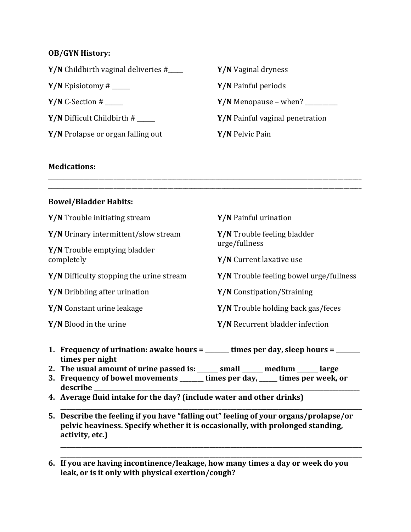## **OB/GYN History:**

| $Y/N$ Childbirth vaginal deliveries $\#$ <sub>____</sub> | Y/N Vaginal dryness             |
|----------------------------------------------------------|---------------------------------|
| <b>Y/N</b> Episiotomy # $\_\_$                           | <b>Y/N</b> Painful periods      |
| $Y/N$ C-Section # _____                                  | $Y/N$ Menopause – when?         |
| <b>Y/N</b> Difficult Childbirth $\#$                     | Y/N Painful vaginal penetration |
| Y/N Prolapse or organ falling out                        | Y/N Pelvic Pain                 |
|                                                          |                                 |

## **Medications:**

## **Bowel/Bladder Habits:**

| Y/N Trouble initiating stream            | Y/N Painful urination                               |
|------------------------------------------|-----------------------------------------------------|
| Y/N Urinary intermittent/slow stream     | <b>Y/N</b> Trouble feeling bladder<br>urge/fullness |
| Y/N Trouble emptying bladder             |                                                     |
| completely                               | Y/N Current laxative use                            |
| Y/N Difficulty stopping the urine stream | Y/N Trouble feeling bowel urge/fullness             |
| Y/N Dribbling after urination            | <b>Y/N</b> Constipation/Straining                   |
| Y/N Constant urine leakage               | Y/N Trouble holding back gas/feces                  |
| Y/N Blood in the urine                   | Y/N Recurrent bladder infection                     |
|                                          |                                                     |

\_\_\_\_\_\_\_\_\_\_\_\_\_\_\_\_\_\_\_\_\_\_\_\_\_\_\_\_\_\_\_\_\_\_\_\_\_\_\_\_\_\_\_\_\_\_\_\_\_\_\_\_\_\_\_\_\_\_\_\_\_\_\_\_\_\_\_\_\_\_\_\_\_\_\_\_\_\_\_\_\_\_\_\_\_\_\_\_\_\_\_\_\_\_\_\_\_\_\_\_\_\_\_\_\_ \_\_\_\_\_\_\_\_\_\_\_\_\_\_\_\_\_\_\_\_\_\_\_\_\_\_\_\_\_\_\_\_\_\_\_\_\_\_\_\_\_\_\_\_\_\_\_\_\_\_\_\_\_\_\_\_\_\_\_\_\_\_\_\_\_\_\_\_\_\_\_\_\_\_\_\_\_\_\_\_\_\_\_\_\_\_\_\_\_\_\_\_\_\_\_\_\_\_\_\_\_\_\_\_\_

- **1. Frequency of urination: awake hours = \_\_\_\_\_\_\_\_ times per day, sleep hours = \_\_\_\_\_\_\_\_ times per night**
- **2. The usual amount of urine passed is: \_\_\_\_\_\_\_ small \_\_\_\_\_\_\_ medium \_\_\_\_\_\_\_ large**
- **3. Frequency of bowel movements \_\_\_\_\_\_\_\_ times per day, \_\_\_\_\_\_ times per week, or**  describe
- **4. Average fluid intake for the day? (include water and other drinks)**
- **\_\_\_\_\_\_\_\_\_\_\_\_\_\_\_\_\_\_\_\_\_\_\_\_\_\_\_\_\_\_\_\_\_\_\_\_\_\_\_\_\_\_\_\_\_\_\_\_\_\_\_\_\_\_\_\_\_\_\_\_\_\_\_\_\_\_\_\_\_\_\_\_\_\_\_\_\_\_\_\_\_\_\_\_\_\_\_\_\_\_\_\_\_\_\_\_\_\_\_\_\_ 5. Describe the feeling if you have "falling out" feeling of your organs/prolapse/or pelvic heaviness. Specify whether it is occasionally, with prolonged standing, activity, etc.)**

**\_\_\_\_\_\_\_\_\_\_\_\_\_\_\_\_\_\_\_\_\_\_\_\_\_\_\_\_\_\_\_\_\_\_\_\_\_\_\_\_\_\_\_\_\_\_\_\_\_\_\_\_\_\_\_\_\_\_\_\_\_\_\_\_\_\_\_\_\_\_\_\_\_\_\_\_\_\_\_\_\_\_\_\_\_\_\_\_\_\_\_\_\_\_\_\_\_\_\_\_\_ \_\_\_\_\_\_\_\_\_\_\_\_\_\_\_\_\_\_\_\_\_\_\_\_\_\_\_\_\_\_\_\_\_\_\_\_\_\_\_\_\_\_\_\_\_\_\_\_\_\_\_\_\_\_\_\_\_\_\_\_\_\_\_\_\_\_\_\_\_\_\_\_\_\_\_\_\_\_\_\_\_\_\_\_\_\_\_\_\_\_\_\_\_\_\_\_\_\_\_\_\_**

**6. If you are having incontinence/leakage, how many times a day or week do you leak, or is it only with physical exertion/cough?**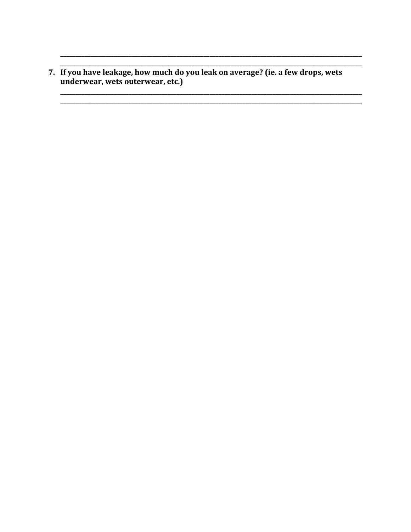7. If you have leakage, how much do you leak on average? (ie. a few drops, wets underwear, wets outerwear, etc.)